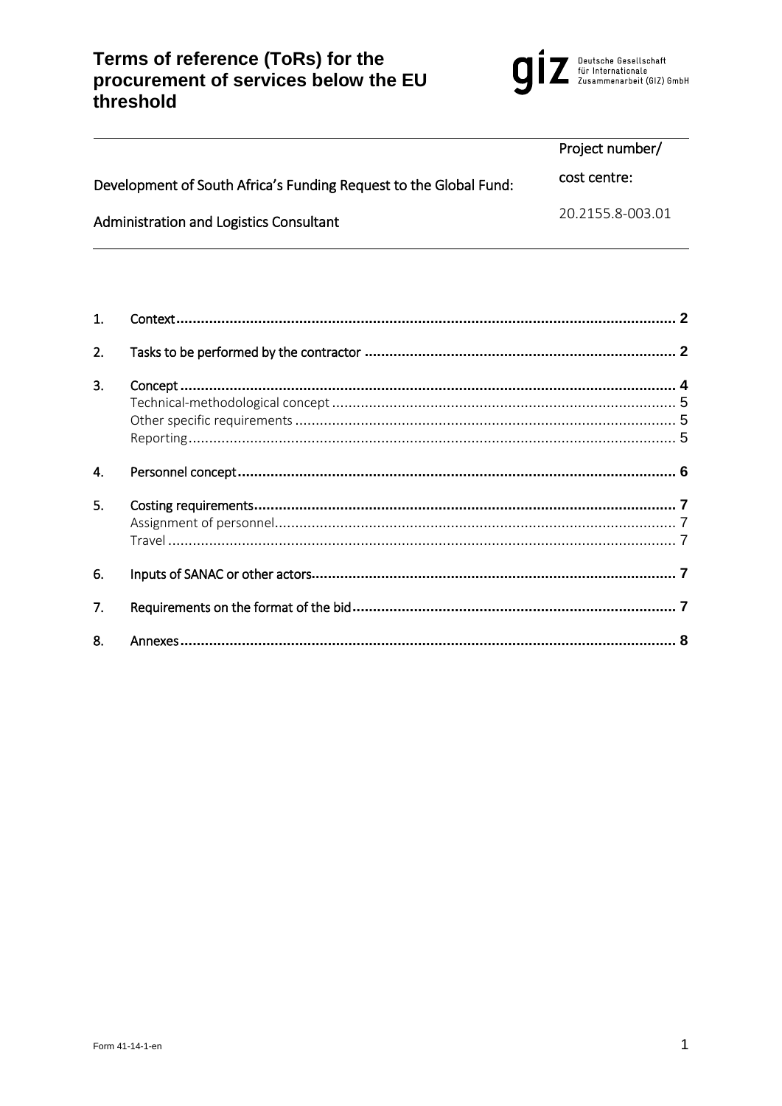# Terms of reference (ToRs) for the<br>procurement of services below the EU<br>threshold



|                                                                   | Project number/  |
|-------------------------------------------------------------------|------------------|
| Development of South Africa's Funding Request to the Global Fund: | cost centre:     |
| Administration and Logistics Consultant                           | 20.2155.8-003.01 |

| $\mathbf{1}$ . |  |
|----------------|--|
| 2.             |  |
| 3.             |  |
|                |  |
|                |  |
|                |  |
| 4.             |  |
| 5.             |  |
|                |  |
|                |  |
| 6.             |  |
| 7.             |  |
| 8.             |  |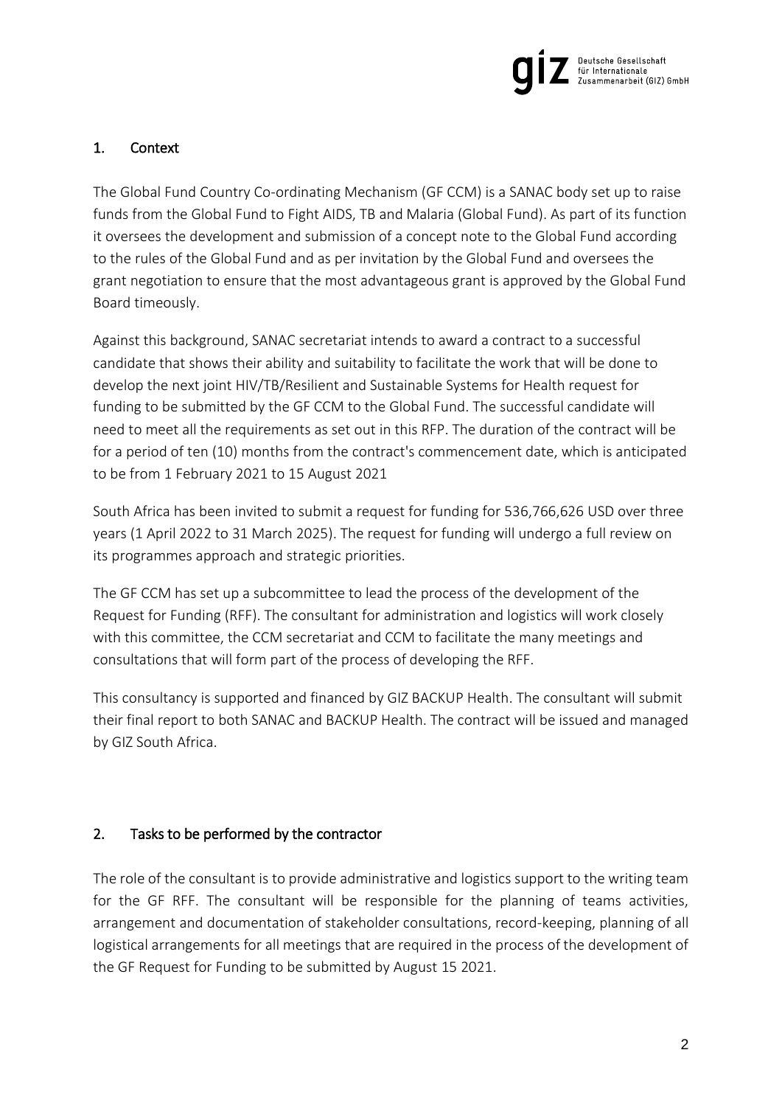

# <span id="page-1-0"></span>1. Context

The Global Fund Country Co-ordinating Mechanism (GF CCM) is a SANAC body set up to raise funds from the Global Fund to Fight AIDS, TB and Malaria (Global Fund). As part of its function it oversees the development and submission of a concept note to the Global Fund according to the rules of the Global Fund and as per invitation by the Global Fund and oversees the grant negotiation to ensure that the most advantageous grant is approved by the Global Fund Board timeously.

Against this background, SANAC secretariat intends to award a contract to a successful candidate that shows their ability and suitability to facilitate the work that will be done to develop the next joint HIV/TB/Resilient and Sustainable Systems for Health request for funding to be submitted by the GF CCM to the Global Fund. The successful candidate will need to meet all the requirements as set out in this RFP. The duration of the contract will be for a period of ten (10) months from the contract's commencement date, which is anticipated to be from 1 February 2021 to 15 August 2021

South Africa has been invited to submit a request for funding for 536,766,626 USD over three years (1 April 2022 to 31 March 2025). The request for funding will undergo a full review on its programmes approach and strategic priorities.

The GF CCM has set up a subcommittee to lead the process of the development of the Request for Funding (RFF). The consultant for administration and logistics will work closely with this committee, the CCM secretariat and CCM to facilitate the many meetings and consultations that will form part of the process of developing the RFF.

This consultancy is supported and financed by GIZ BACKUP Health. The consultant will submit their final report to both SANAC and BACKUP Health. The contract will be issued and managed by GIZ South Africa.

## <span id="page-1-1"></span>2. Tasks to be performed by the contractor

The role of the consultant is to provide administrative and logistics support to the writing team for the GF RFF. The consultant will be responsible for the planning of teams activities, arrangement and documentation of stakeholder consultations, record-keeping, planning of all logistical arrangements for all meetings that are required in the process of the development of the GF Request for Funding to be submitted by August 15 2021.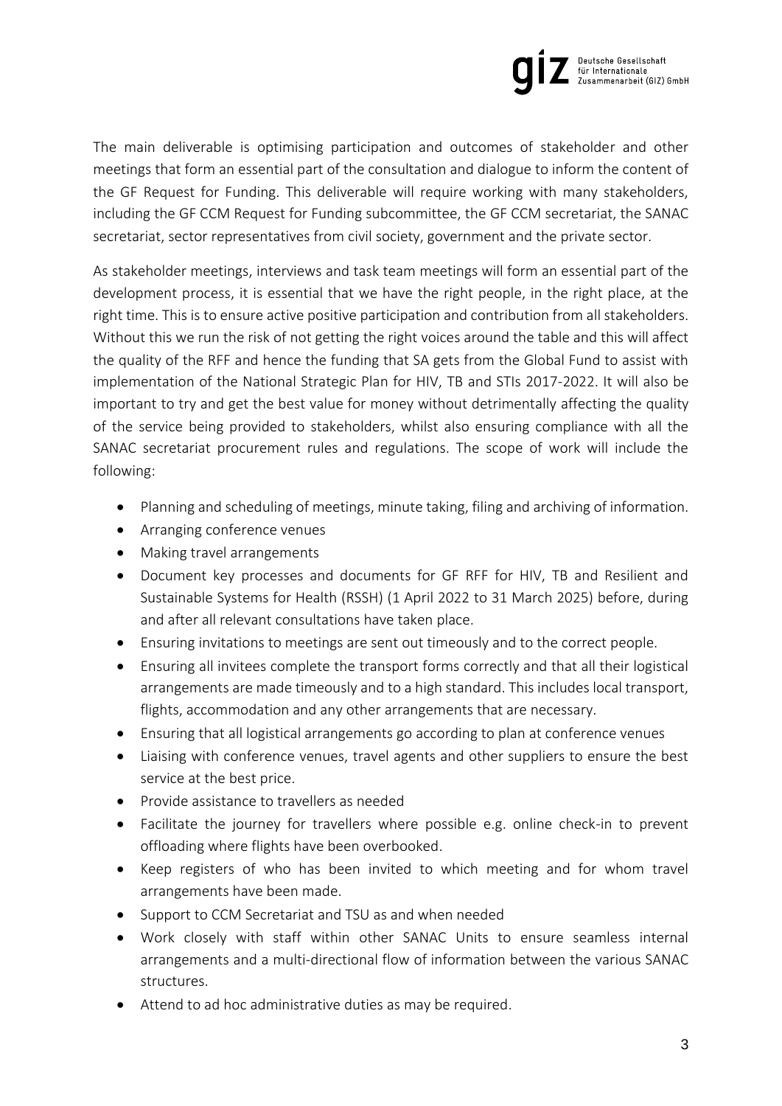

The main deliverable is optimising participation and outcomes of stakeholder and other meetings that form an essential part of the consultation and dialogue to inform the content of the GF Request for Funding. This deliverable will require working with many stakeholders, including the GF CCM Request for Funding subcommittee, the GF CCM secretariat, the SANAC secretariat, sector representatives from civil society, government and the private sector.

As stakeholder meetings, interviews and task team meetings will form an essential part of the development process, it is essential that we have the right people, in the right place, at the right time. This is to ensure active positive participation and contribution from all stakeholders. Without this we run the risk of not getting the right voices around the table and this will affect the quality of the RFF and hence the funding that SA gets from the Global Fund to assist with implementation of the National Strategic Plan for HIV, TB and STIs 2017-2022. It will also be important to try and get the best value for money without detrimentally affecting the quality of the service being provided to stakeholders, whilst also ensuring compliance with all the SANAC secretariat procurement rules and regulations. The scope of work will include the following:

- Planning and scheduling of meetings, minute taking, filing and archiving of information.
- Arranging conference venues
- Making travel arrangements
- Document key processes and documents for GF RFF for HIV, TB and Resilient and Sustainable Systems for Health (RSSH) (1 April 2022 to 31 March 2025) before, during and after all relevant consultations have taken place.
- Ensuring invitations to meetings are sent out timeously and to the correct people.
- Ensuring all invitees complete the transport forms correctly and that all their logistical arrangements are made timeously and to a high standard. This includes local transport, flights, accommodation and any other arrangements that are necessary.
- Ensuring that all logistical arrangements go according to plan at conference venues
- Liaising with conference venues, travel agents and other suppliers to ensure the best service at the best price.
- Provide assistance to travellers as needed
- Facilitate the journey for travellers where possible e.g. online check-in to prevent offloading where flights have been overbooked.
- Keep registers of who has been invited to which meeting and for whom travel arrangements have been made.
- Support to CCM Secretariat and TSU as and when needed
- Work closely with staff within other SANAC Units to ensure seamless internal arrangements and a multi-directional flow of information between the various SANAC structures.
- Attend to ad hoc administrative duties as may be required.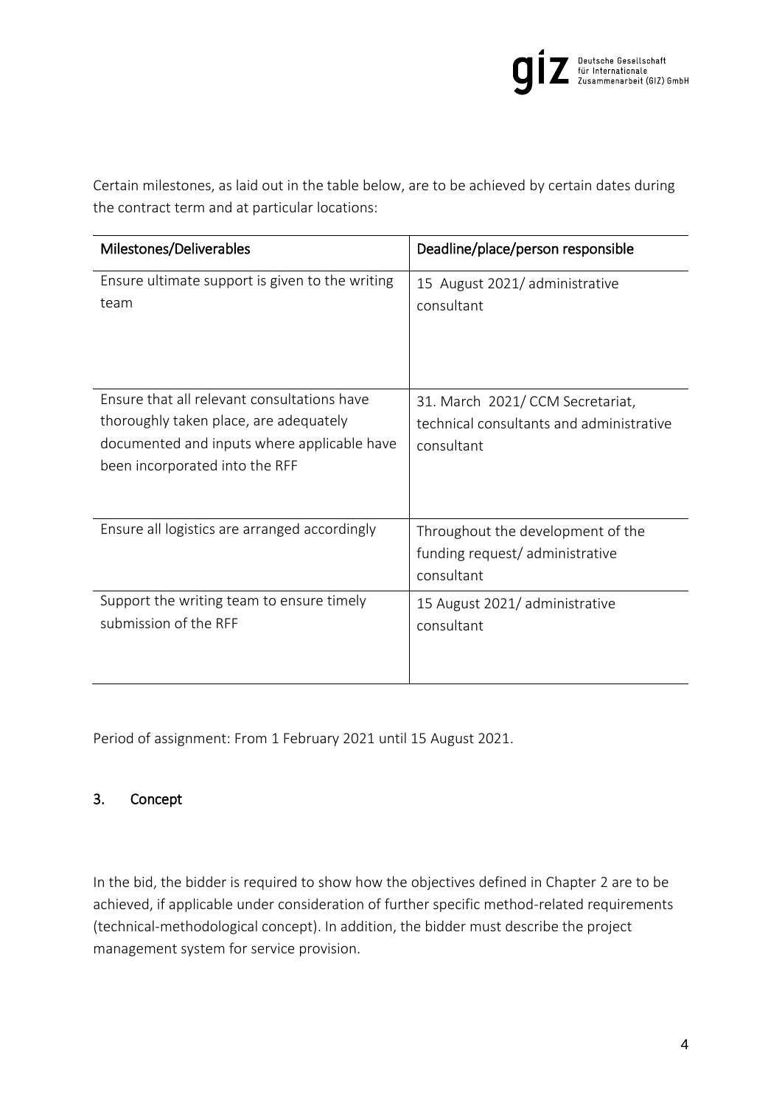

Certain milestones, as laid out in the table below, are to be achieved by certain dates during the contract term and at particular locations:

| Milestones/Deliverables                                                                                                                                                | Deadline/place/person responsible                                                         |
|------------------------------------------------------------------------------------------------------------------------------------------------------------------------|-------------------------------------------------------------------------------------------|
| Ensure ultimate support is given to the writing<br>team                                                                                                                | 15 August 2021/administrative<br>consultant                                               |
| Ensure that all relevant consultations have<br>thoroughly taken place, are adequately<br>documented and inputs where applicable have<br>been incorporated into the RFF | 31. March 2021/CCM Secretariat,<br>technical consultants and administrative<br>consultant |
| Ensure all logistics are arranged accordingly                                                                                                                          | Throughout the development of the<br>funding request/administrative<br>consultant         |
| Support the writing team to ensure timely<br>submission of the RFF                                                                                                     | 15 August 2021/ administrative<br>consultant                                              |

Period of assignment: From 1 February 2021 until 15 August 2021.

## <span id="page-3-0"></span>3. Concept

In the bid, the bidder is required to show how the objectives defined in Chapter [2](#page-1-1) are to be achieved, if applicable under consideration of further specific method-related requirements (technical-methodological concept). In addition, the bidder must describe the project management system for service provision.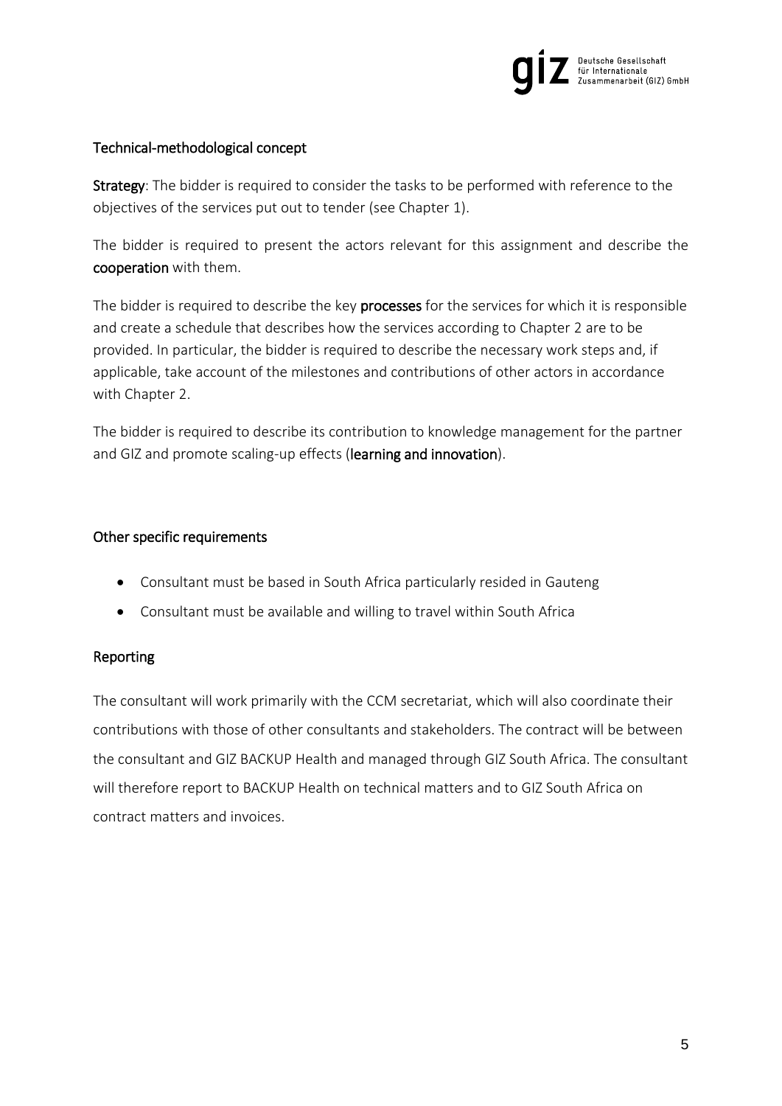

## <span id="page-4-0"></span>Technical-methodological concept

Strategy: The bidder is required to consider the tasks to be performed with reference to the objectives of the services put out to tender (see Chapter [1\)](#page-1-0).

The bidder is required to present the actors relevant for this assignment and describe the cooperation with them.

The bidder is required to describe the key processes for the services for which it is responsible and create a schedule that describes how the services according to Chapter [2](#page-1-1) are to be provided. In particular, the bidder is required to describe the necessary work steps and, if applicable, take account of the milestones and contributions of other actors in accordance with Chapter [2.](#page-1-1)

The bidder is required to describe its contribution to knowledge management for the partner and GIZ and promote scaling-up effects (learning and innovation).

#### <span id="page-4-1"></span>Other specific requirements

- Consultant must be based in South Africa particularly resided in Gauteng
- Consultant must be available and willing to travel within South Africa

#### <span id="page-4-2"></span>Reporting

The consultant will work primarily with the CCM secretariat, which will also coordinate their contributions with those of other consultants and stakeholders. The contract will be between the consultant and GIZ BACKUP Health and managed through GIZ South Africa. The consultant will therefore report to BACKUP Health on technical matters and to GIZ South Africa on contract matters and invoices.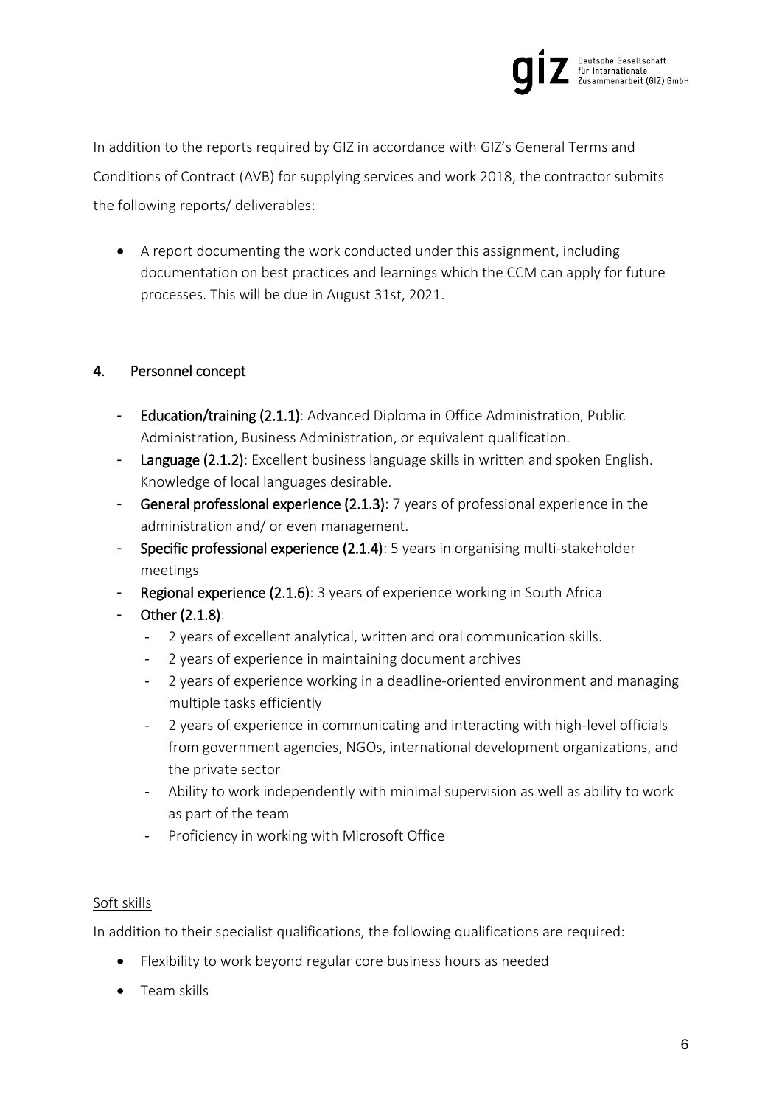

In addition to the reports required by GIZ in accordance with GIZ's General Terms and Conditions of Contract (AVB) for supplying services and work 2018, the contractor submits the following reports/ deliverables:

 A report documenting the work conducted under this assignment, including documentation on best practices and learnings which the CCM can apply for future processes. This will be due in August 31st, 2021.

# <span id="page-5-0"></span>4. Personnel concept

- Education/training (2.1.1): Advanced Diploma in Office Administration, Public Administration, Business Administration, or equivalent qualification.
- Language (2.1.2): Excellent business language skills in written and spoken English. Knowledge of local languages desirable.
- General professional experience (2.1.3): 7 years of professional experience in the administration and/ or even management.
- Specific professional experience (2.1.4): 5 years in organising multi-stakeholder meetings
- Regional experience (2.1.6): 3 years of experience working in South Africa
- Other (2.1.8):
	- 2 years of excellent analytical, written and oral communication skills.
	- 2 years of experience in maintaining document archives
	- 2 years of experience working in a deadline-oriented environment and managing multiple tasks efficiently
	- 2 years of experience in communicating and interacting with high-level officials from government agencies, NGOs, international development organizations, and the private sector
	- Ability to work independently with minimal supervision as well as ability to work as part of the team
	- Proficiency in working with Microsoft Office

## Soft skills

In addition to their specialist qualifications, the following qualifications are required:

- Flexibility to work beyond regular core business hours as needed
- Team skills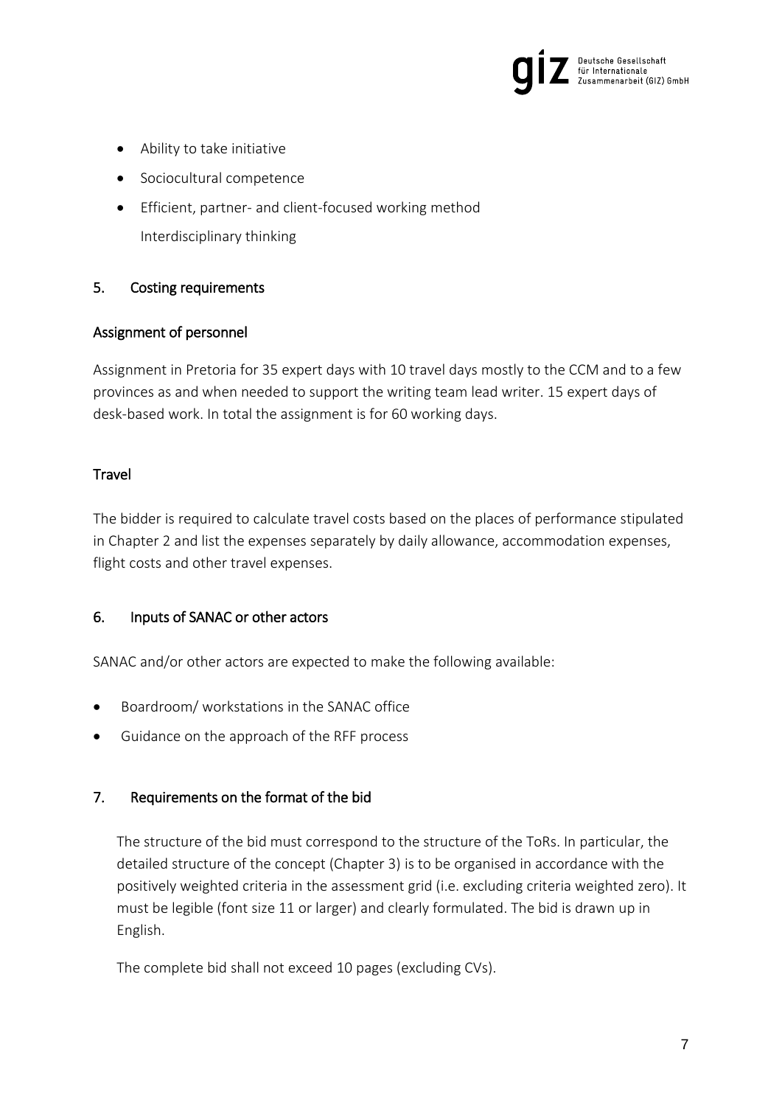

- Ability to take initiative
- Sociocultural competence
- Efficient, partner- and client-focused working method Interdisciplinary thinking

## <span id="page-6-0"></span>5. Costing requirements

## <span id="page-6-1"></span>Assignment of personnel

Assignment in Pretoria for 35 expert days with 10 travel days mostly to the CCM and to a few provinces as and when needed to support the writing team lead writer. 15 expert days of desk-based work. In total the assignment is for 60 working days.

## <span id="page-6-2"></span>**Travel**

The bidder is required to calculate travel costs based on the places of performance stipulated in Chapter [2](#page-1-1) and list the expenses separately by daily allowance, accommodation expenses, flight costs and other travel expenses.

## <span id="page-6-3"></span>6. Inputs of SANAC or other actors

SANAC and/or other actors are expected to make the following available:

- Boardroom/ workstations in the SANAC office
- Guidance on the approach of the RFF process

## <span id="page-6-4"></span>7. Requirements on the format of the bid

The structure of the bid must correspond to the structure of the ToRs. In particular, the detailed structure of the concept (Chapter 3) is to be organised in accordance with the positively weighted criteria in the assessment grid (i.e. excluding criteria weighted zero). It must be legible (font size 11 or larger) and clearly formulated. The bid is drawn up in English.

The complete bid shall not exceed 10 pages (excluding CVs).